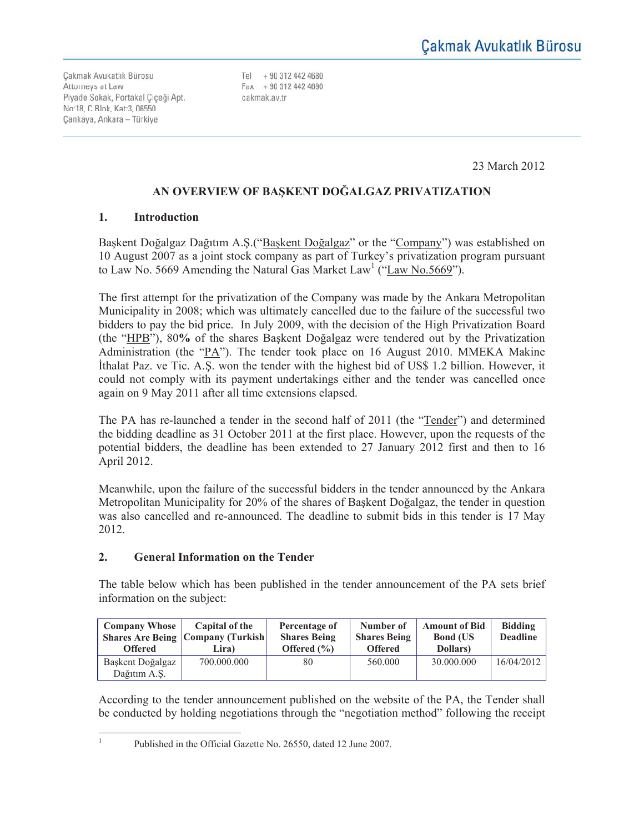Çakmak Avukatlık Bürosu Attorneys at Law Piyade Sokak, Portakal Çiçeği Apt. No:18, C Blok, Kat:3, 06550 Çankaya, Ankara - Türkiye

Tel + 90 312 442 4680  $Fax + 903124424690$ cakmak.av.tr

23 March 2012

## **AN OVERVIEW OF BAùKENT DOöALGAZ PRIVATIZATION**

## **1. Introduction**

Başkent Doğalgaz Dağıtım A.Ş.("Başkent Doğalgaz" or the "Company") was established on 10 August 2007 as a joint stock company as part of Turkey's privatization program pursuant to Law No. 5669 Amending the Natural Gas Market Law<sup>1</sup> ("Law No.5669").

The first attempt for the privatization of the Company was made by the Ankara Metropolitan Municipality in 2008; which was ultimately cancelled due to the failure of the successful two bidders to pay the bid price. In July 2009, with the decision of the High Privatization Board (the "HPB"), 80% of the shares Başkent Doğalgaz were tendered out by the Privatization Administration (the "PA"). The tender took place on 16 August 2010. MMEKA Makine Ithalat Paz. ve Tic. A.S. won the tender with the highest bid of US\$ 1.2 billion. However, it could not comply with its payment undertakings either and the tender was cancelled once again on 9 May 2011 after all time extensions elapsed.

The PA has re-launched a tender in the second half of 2011 (the "Tender") and determined the bidding deadline as 31 October 2011 at the first place. However, upon the requests of the potential bidders, the deadline has been extended to 27 January 2012 first and then to 16 April 2012.

Meanwhile, upon the failure of the successful bidders in the tender announced by the Ankara Metropolitan Municipality for 20% of the shares of Başkent Doğalgaz, the tender in question was also cancelled and re-announced. The deadline to submit bids in this tender is 17 May 2012.

## **2. General Information on the Tender**

The table below which has been published in the tender announcement of the PA sets brief information on the subject:

| <b>Company Whose</b><br><b>Offered</b> | Capital of the<br><b>Shares Are Being Company (Turkish)</b><br>Lira) | Percentage of<br><b>Shares Being</b><br>Offered $(\% )$ | Number of<br><b>Shares Being</b><br><b>Offered</b> | <b>Amount of Bid</b><br><b>Bond</b> (US)<br>Dollars) | Bidding<br><b>Deadline</b> |
|----------------------------------------|----------------------------------------------------------------------|---------------------------------------------------------|----------------------------------------------------|------------------------------------------------------|----------------------------|
| Başkent Doğalgaz<br>Dağıtım A.S.       | 700,000,000                                                          | 80                                                      | 560,000                                            | 30,000,000                                           | 16/04/2012                 |

According to the tender announcement published on the website of the PA, the Tender shall be conducted by holding negotiations through the "negotiation method" following the receipt

 $\frac{1}{1}$ Published in the Official Gazette No. 26550, dated 12 June 2007.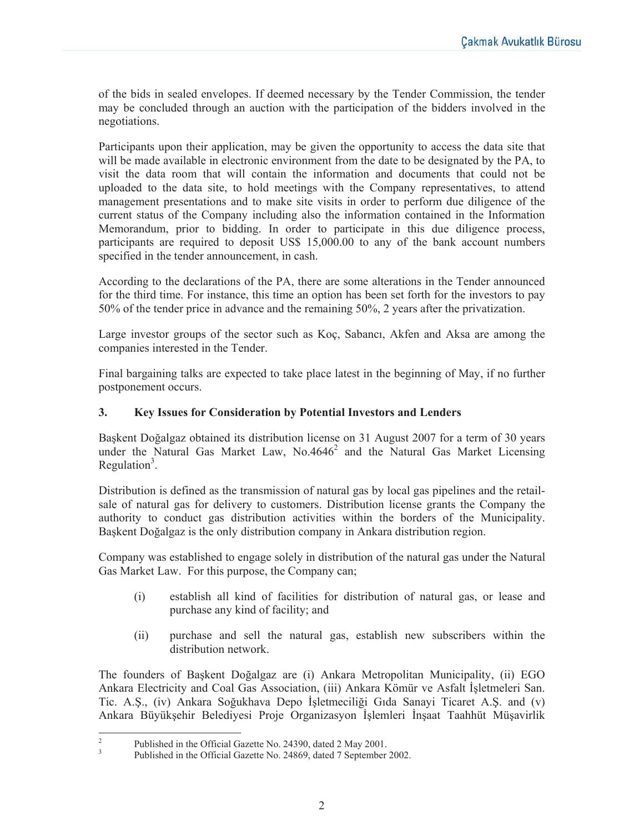of the bids in sealed envelopes. If deemed necessary by the Tender Commission, the tender may be concluded through an auction with the participation of the bidders involved in the negotiations.

Participants upon their application, may be given the opportunity to access the data site that will be made available in electronic environment from the date to be designated by the PA, to visit the data room that will contain the information and documents that could not be uploaded to the data site, to hold meetings with the Company representatives, to attend management presentations and to make site visits in order to perform due diligence of the current status of the Company including also the information contained in the Information Memorandum, prior to bidding. In order to participate in this due diligence process, participants are required to deposit US\$ 15,000.00 to any of the bank account numbers specified in the tender announcement, in cash.

According to the declarations of the PA, there are some alterations in the Tender announced for the third time. For instance, this time an option has been set forth for the investors to pay 50% of the tender price in advance and the remaining 50%, 2 years after the privatization.

Large investor groups of the sector such as Koç, Sabanci, Akfen and Aksa are among the companies interested in the Tender.

Final bargaining talks are expected to take place latest in the beginning of May, if no further postponement occurs.

## **3. Key Issues for Consideration by Potential Investors and Lenders**

Başkent Doğalgaz obtained its distribution license on 31 August 2007 for a term of 30 years under the Natural Gas Market Law,  $No.4646<sup>2</sup>$  and the Natural Gas Market Licensing Regulation<sup>3</sup>.

Distribution is defined as the transmission of natural gas by local gas pipelines and the retailsale of natural gas for delivery to customers. Distribution license grants the Company the authority to conduct gas distribution activities within the borders of the Municipality. Başkent Doğalgaz is the only distribution company in Ankara distribution region.

Company was established to engage solely in distribution of the natural gas under the Natural Gas Market Law. For this purpose, the Company can;

- (i) establish all kind of facilities for distribution of natural gas, or lease and purchase any kind of facility; and
- (ii) purchase and sell the natural gas, establish new subscribers within the distribution network.

The founders of Başkent Doğalgaz are (i) Ankara Metropolitan Municipality, (ii) EGO Ankara Electricity and Coal Gas Association, (iii) Ankara Kömür ve Asfalt İşletmeleri San. Tic. A.S., (iv) Ankara Soğukhava Depo İsletmeciliği Gıda Sanayi Ticaret A.S. and (v) Ankara Büyükşehir Belediyesi Proje Organizasyon İşlemleri İnşaat Taahhüt Müşavirlik

 $\frac{1}{2}$ Published in the Official Gazette No. 24390, dated 2 May 2001.

<sup>3</sup> Published in the Official Gazette No. 24869, dated 7 September 2002.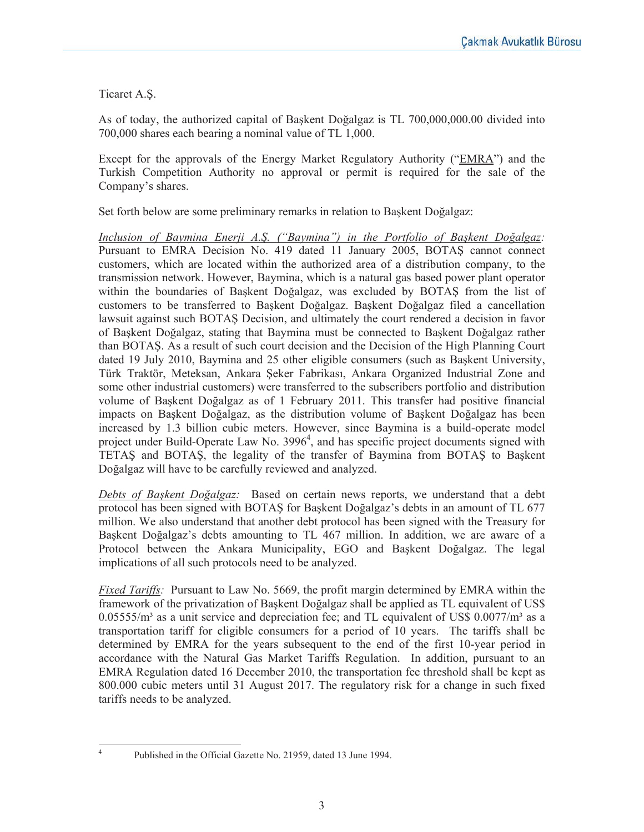Ticaret A.S.

As of today, the authorized capital of Başkent Doğalgaz is TL 700,000,000.00 divided into 700,000 shares each bearing a nominal value of TL 1,000.

Except for the approvals of the Energy Market Regulatory Authority ("EMRA") and the Turkish Competition Authority no approval or permit is required for the sale of the Company's shares.

Set forth below are some preliminary remarks in relation to Baskent Doğalgaz:

*Inclusion of Baymina Enerji A.ù. ("Baymina") in the Portfolio of Baúkent Do÷algaz:*  Pursuant to EMRA Decision No. 419 dated 11 January 2005, BOTAS cannot connect customers, which are located within the authorized area of a distribution company, to the transmission network. However, Baymina, which is a natural gas based power plant operator within the boundaries of Başkent Doğalgaz, was excluded by BOTAŞ from the list of customers to be transferred to Başkent Doğalgaz. Başkent Doğalgaz filed a cancellation lawsuit against such BOTAS Decision, and ultimately the court rendered a decision in favor of Baskent Doğalgaz, stating that Baymina must be connected to Baskent Doğalgaz rather than BOTAS. As a result of such court decision and the Decision of the High Planning Court dated 19 July 2010, Baymina and 25 other eligible consumers (such as Baskent University, Türk Traktör, Meteksan, Ankara Seker Fabrikası, Ankara Organized Industrial Zone and some other industrial customers) were transferred to the subscribers portfolio and distribution volume of Başkent Doğalgaz as of 1 February 2011. This transfer had positive financial impacts on Başkent Doğalgaz, as the distribution volume of Başkent Doğalgaz has been increased by 1.3 billion cubic meters. However, since Baymina is a build-operate model project under Build-Operate Law No. 3996<sup>4</sup>, and has specific project documents signed with TETAŞ and BOTAŞ, the legality of the transfer of Baymina from BOTAŞ to Başkent Doğalgaz will have to be carefully reviewed and analyzed.

*Debts of Baúkent Do÷algaz:* Based on certain news reports, we understand that a debt protocol has been signed with BOTAŞ for Başkent Doğalgaz's debts in an amount of TL 677 million. We also understand that another debt protocol has been signed with the Treasury for Başkent Doğalgaz's debts amounting to TL 467 million. In addition, we are aware of a Protocol between the Ankara Municipality, EGO and Başkent Doğalgaz. The legal implications of all such protocols need to be analyzed.

*Fixed Tariffs:* Pursuant to Law No. 5669, the profit margin determined by EMRA within the framework of the privatization of Baskent Doğalgaz shall be applied as TL equivalent of US\$  $0.05555/m<sup>3</sup>$  as a unit service and depreciation fee; and TL equivalent of US\$ 0.0077/m<sup>3</sup> as a transportation tariff for eligible consumers for a period of 10 years. The tariffs shall be determined by EMRA for the years subsequent to the end of the first 10-year period in accordance with the Natural Gas Market Tariffs Regulation. In addition, pursuant to an EMRA Regulation dated 16 December 2010, the transportation fee threshold shall be kept as 800.000 cubic meters until 31 August 2017. The regulatory risk for a change in such fixed tariffs needs to be analyzed.

 $\frac{1}{4}$ 

Published in the Official Gazette No. 21959, dated 13 June 1994.